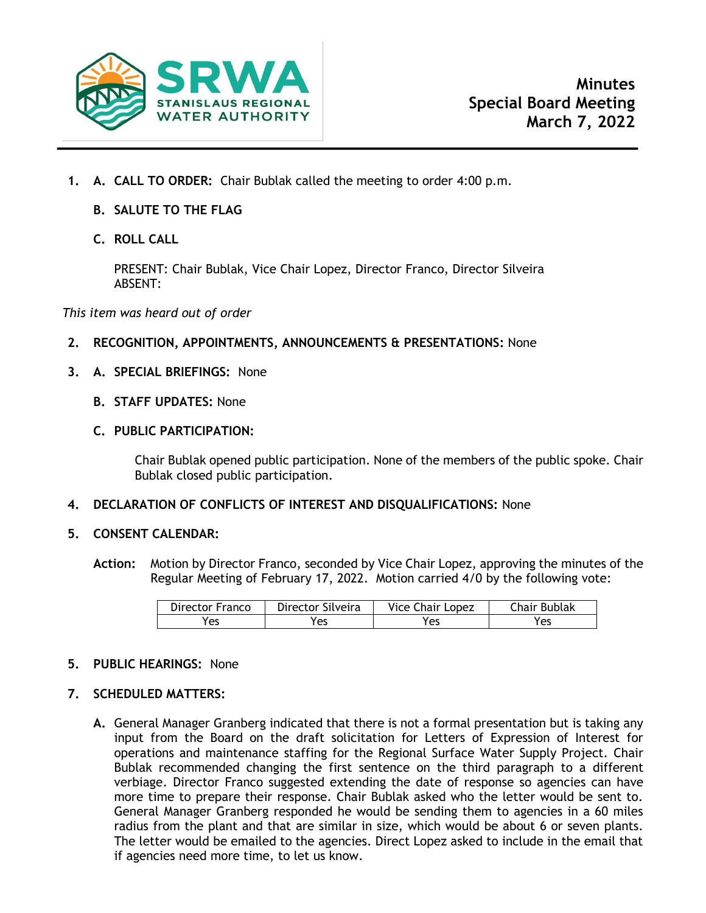

- **1. A. CALL TO ORDER:** Chair Bublak called the meeting to order 4:00 p.m.
	- **B. SALUTE TO THE FLAG**
	- **C. ROLL CALL**

PRESENT: Chair Bublak, Vice Chair Lopez, Director Franco, Director Silveira ABSENT:

*This item was heard out of order*

- **2. RECOGNITION, APPOINTMENTS, ANNOUNCEMENTS & PRESENTATIONS:** None
- **3. A. SPECIAL BRIEFINGS:** None
	- **B. STAFF UPDATES:** None
	- **C. PUBLIC PARTICIPATION:**

Chair Bublak opened public participation. None of the members of the public spoke. Chair Bublak closed public participation.

- **4. DECLARATION OF CONFLICTS OF INTEREST AND DISQUALIFICATIONS:** None
- **5. CONSENT CALENDAR:**
	- **Action:** Motion by Director Franco, seconded by Vice Chair Lopez, approving the minutes of the Regular Meeting of February 17, 2022. Motion carried 4/0 by the following vote:

| Director Franco | Director Silveira | <b>Vice Chair Lopez</b> | Chair Bublak |
|-----------------|-------------------|-------------------------|--------------|
| Yes             | Yes               | Yes                     | Yes          |

## **5. PUBLIC HEARINGS:** None

## **7. SCHEDULED MATTERS:**

**A.** General Manager Granberg indicated that there is not a formal presentation but is taking any input from the Board on the draft solicitation for Letters of Expression of Interest for operations and maintenance staffing for the Regional Surface Water Supply Project. Chair Bublak recommended changing the first sentence on the third paragraph to a different verbiage. Director Franco suggested extending the date of response so agencies can have more time to prepare their response. Chair Bublak asked who the letter would be sent to. General Manager Granberg responded he would be sending them to agencies in a 60 miles radius from the plant and that are similar in size, which would be about 6 or seven plants. The letter would be emailed to the agencies. Direct Lopez asked to include in the email that if agencies need more time, to let us know.